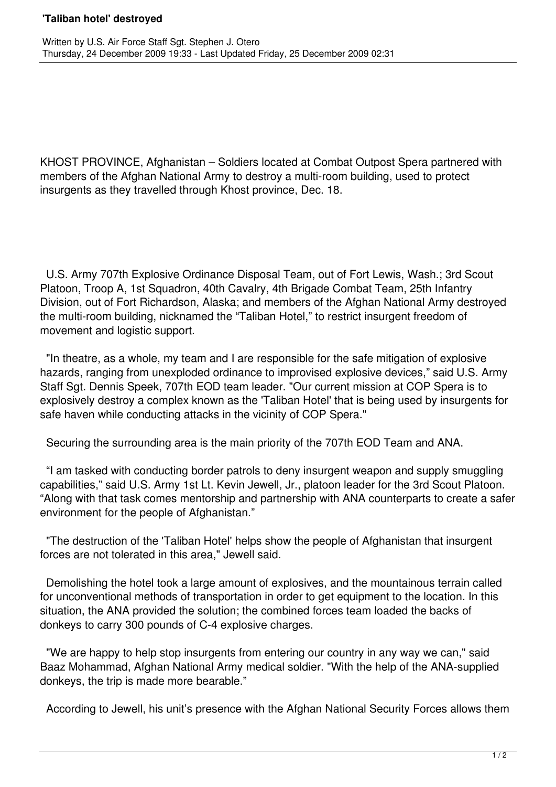## **'Taliban hotel' destroyed**

KHOST PROVINCE, Afghanistan – Soldiers located at Combat Outpost Spera partnered with members of the Afghan National Army to destroy a multi-room building, used to protect insurgents as they travelled through Khost province, Dec. 18.

 U.S. Army 707th Explosive Ordinance Disposal Team, out of Fort Lewis, Wash.; 3rd Scout Platoon, Troop A, 1st Squadron, 40th Cavalry, 4th Brigade Combat Team, 25th Infantry Division, out of Fort Richardson, Alaska; and members of the Afghan National Army destroyed the multi-room building, nicknamed the "Taliban Hotel," to restrict insurgent freedom of movement and logistic support.

 "In theatre, as a whole, my team and I are responsible for the safe mitigation of explosive hazards, ranging from unexploded ordinance to improvised explosive devices," said U.S. Army Staff Sgt. Dennis Speek, 707th EOD team leader. "Our current mission at COP Spera is to explosively destroy a complex known as the 'Taliban Hotel' that is being used by insurgents for safe haven while conducting attacks in the vicinity of COP Spera."

Securing the surrounding area is the main priority of the 707th EOD Team and ANA.

 "I am tasked with conducting border patrols to deny insurgent weapon and supply smuggling capabilities," said U.S. Army 1st Lt. Kevin Jewell, Jr., platoon leader for the 3rd Scout Platoon. "Along with that task comes mentorship and partnership with ANA counterparts to create a safer environment for the people of Afghanistan."

 "The destruction of the 'Taliban Hotel' helps show the people of Afghanistan that insurgent forces are not tolerated in this area," Jewell said.

 Demolishing the hotel took a large amount of explosives, and the mountainous terrain called for unconventional methods of transportation in order to get equipment to the location. In this situation, the ANA provided the solution; the combined forces team loaded the backs of donkeys to carry 300 pounds of C-4 explosive charges.

 "We are happy to help stop insurgents from entering our country in any way we can," said Baaz Mohammad, Afghan National Army medical soldier. "With the help of the ANA-supplied donkeys, the trip is made more bearable."

According to Jewell, his unit's presence with the Afghan National Security Forces allows them